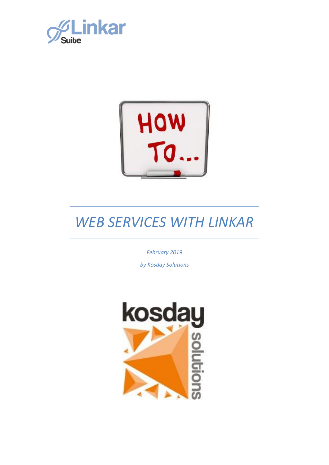



*February 2019*

*by Kosday Solutions*

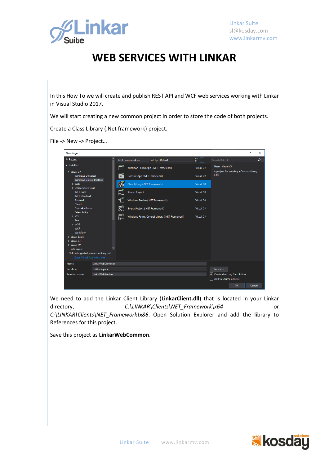

In this How To we will create and publish REST API and WCF web services working with Linkar in Visual Studio 2017.

We will start creating a new common project in order to store the code of both projects.

Create a Class Library (.Net framework) project.

File -> New -> Project…



We need to add the Linkar Client Library (**LinkarClient.dll**) that is located in your Linkar directory, *C:\LINKAR\Clients\NET\_Framework\x64* or *C:\LINKAR\Clients\NET\_Framework\x86*. Open Solution Explorer and add the library to References for this project.

Save this project as **LinkarWebCommon**.

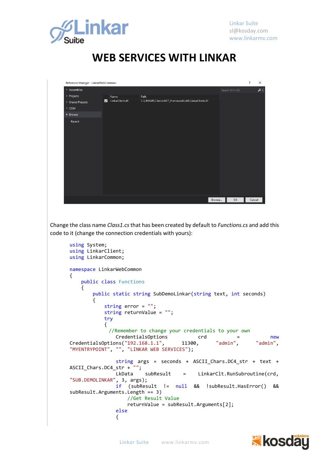

| Reference Manager - LinkarWebCommon |   |                  |                                                      |        |                 | $\overline{\cdot}$ | $\times$ |
|-------------------------------------|---|------------------|------------------------------------------------------|--------|-----------------|--------------------|----------|
| $\triangleright$ Assemblies         |   |                  |                                                      |        | Search (Ctrl+E) |                    | - م      |
| ▷ Projects                          |   | Name             | Path                                                 |        |                 |                    |          |
| $\triangleright$ Shared Projects    | ☑ | LinkarClient.dll | C:\LINKAR\Clients\NET_Framework\x64\LinkarClient.dll |        |                 |                    |          |
| $\triangleright$ COM                |   |                  |                                                      |        |                 |                    |          |
| ▲ Browse                            |   |                  |                                                      |        |                 |                    |          |
| Recent                              |   |                  |                                                      |        |                 |                    |          |
|                                     |   |                  |                                                      | Browse | OK              | Cancel             |          |

Change the class name *Class1.cs* that has been created by default to *Functions.cs* and add this code to it (change the connection credentials with yours):

```
using System;
using LinkarClient;
using LinkarCommon;
namespace LinkarWebCommon
{
    public class Functions
     {
        public static string SubDemoLinkar(string text, int seconds)
        {
            string error = "";
            string returnValue = "";
            try
\{//Remember to change your credentials to your own
               CredentialsOptions crd = new<br>
ons("192.168.1.1", 11300, "admin", "admin",CredentialsOptions("192.168.1.1", 11300, "admin", "admin", 
"MYENTRYPOINT", "", "LINKAR WEB SERVICES");
                string args = seconds + ASCII_Chars.DC4_str + text + 
ASCII_Chars.DC4_str + "";
                       subResult = LinkarClt.RunSubroutine(crd,
"SUB.DEMOLINKAR", 3, args);
                if (subResult != null && !subResult.HasError() && 
subResult.Arguments.Length == 3)
                    //Get Result Value
                   returnValue = subResult.Arguments[2];
                else
\{
```
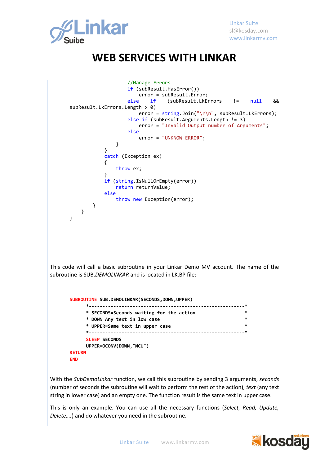

```
 //Manage Errors
                           if (subResult.HasError())
                           error = subResult.Error;<br>else if (subResult.LkF)
                                         else if (subResult.LkErrors != null && 
      subResult.LkErrors.Length > 0)
                               error = string.Join("\\r\\n", subResult. LkErrors); else if (subResult.Arguments.Length != 3)
                                error = "Invalid Output number of Arguments";
                            else
                                error = "UNKNOW ERROR";
        }
        }
                    catch (Exception ex)
       \{ throw ex;
        }
                    if (string.IsNullOrEmpty(error))
                       return returnValue;
                    else
                       throw new Exception(error);
               }
           }
      }
This code will call a basic subroutine in your Linkar Demo MV account. The name of the 
subroutine is SUB.DEMOLINKAR and is located in LK.BP file:
      SUBROUTINE SUB.DEMOLINKAR(SECONDS,DOWN,UPPER)
             *---------------------------------------------------------*
             * SECONDS=Seconds waiting for the action *
             * DOWN=Any text in low case *
             * UPPER=Same text in upper case *
             *---------------------------------------------------------*
             SLEEP SECONDS
             UPPER=OCONV(DOWN,"MCU") 
      RETURN
      END
```
With the *SubDemoLinkar* function, we call this subroutine by sending 3 arguments, *seconds*  (number of seconds the subroutine will wait to perform the rest of the action), *text* (any text string in lower case) and an empty one. The function result is the same text in upper case.

This is only an example. You can use all the necessary functions (*Select, Read, Update, Delete….*) and do whatever you need in the subroutine.

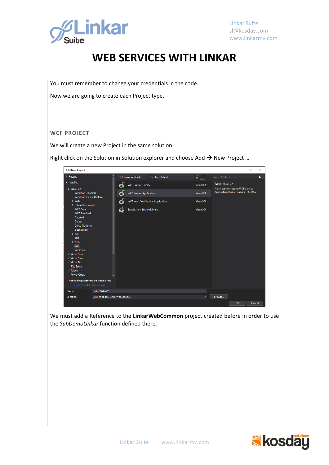

Linkar Suite [sl@kosday.com](mailto:sl@kosday.com) www.linkarmv.com

## **WEB SERVICES WITH LINKAR**

You must remember to change your credentials in the code.

Now we are going to create each Project type.

#### **WCF PROJECT**

We will create a new Project in the same solution.

Right click on the Solution in Solution explorer and choose Add  $\rightarrow$  New Project ...

| <b>Add New Project</b>                                                                   |                                |                |                                         |                  |         |           |                                                                             |    | ?      | $\times$ |
|------------------------------------------------------------------------------------------|--------------------------------|----------------|-----------------------------------------|------------------|---------|-----------|-----------------------------------------------------------------------------|----|--------|----------|
| Recent                                                                                   |                                |                | .NET Framework 4.6                      | Sort by: Default | 罪国<br>⊣ |           | Search (Ctrl+E)                                                             |    |        | - م      |
| ▲ Installed                                                                              |                                | Q÷             | <b>WCF Service Library</b>              |                  |         | Visual C# | Type: Visual C#                                                             |    |        |          |
| $\blacktriangle$ Visual C#<br><b>Windows Universal</b><br><b>Windows Classic Desktop</b> |                                | $\mathbf{Q}_i$ | <b>WCF Service Application</b>          |                  |         | Visual C# | A project for creating WCF Service<br>Application that is hosted in IIS/WAS |    |        |          |
| ▷ Web<br>D Office/SharePoint                                                             |                                | ඈ              | <b>WCF Workflow Service Application</b> |                  |         | Visual C# |                                                                             |    |        |          |
| .NET Core<br>.NET Standard                                                               |                                | œ              | <b>Syndication Service Library</b>      |                  |         | Visual C# |                                                                             |    |        |          |
| Android<br>Cloud<br>Cross-Platform                                                       |                                |                |                                         |                  |         |           |                                                                             |    |        |          |
| Extensibility<br>$\triangleright$ iOS                                                    |                                |                |                                         |                  |         |           |                                                                             |    |        |          |
| Test                                                                                     |                                |                |                                         |                  |         |           |                                                                             |    |        |          |
| $b$ tvOS<br><b>WCF</b>                                                                   |                                |                |                                         |                  |         |           |                                                                             |    |        |          |
| Workflow<br><b>D</b> Visual Basic                                                        |                                |                |                                         |                  |         |           |                                                                             |    |        |          |
| $\triangleright$ Visual C++<br>$\triangleright$ Visual F#                                |                                |                |                                         |                  |         |           |                                                                             |    |        |          |
| <b>SOL Server</b>                                                                        |                                |                |                                         |                  |         |           |                                                                             |    |        |          |
| ▷ Telerik<br><b>Power Query</b>                                                          |                                |                |                                         |                  |         |           |                                                                             |    |        |          |
| Not finding what you are looking for?<br>Open Visual Studio Installer                    |                                |                |                                         |                  |         |           |                                                                             |    |        |          |
| Name:                                                                                    | LinkarWebWCF                   |                |                                         |                  |         |           |                                                                             |    |        |          |
| Location:                                                                                | D:\Workspace\LinkarWebServices |                |                                         |                  |         |           | Browse                                                                      |    |        |          |
|                                                                                          |                                |                |                                         |                  |         |           |                                                                             | OK | Cancel |          |

We must add a Reference to the **LinkarWebCommon** project created before in order to use the *SubDemoLinkar* function defined there.

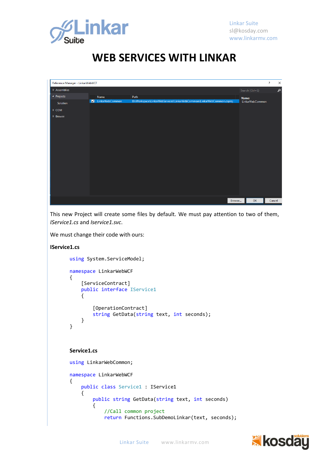

| Reference Manager - LinkarWebWCF |                |                 |                                                                       |        |                 | $\overline{\cdot}$ | $\times$ |
|----------------------------------|----------------|-----------------|-----------------------------------------------------------------------|--------|-----------------|--------------------|----------|
| $\triangleright$ Assemblies      |                |                 |                                                                       |        | Search (Ctrl+E) |                    | ام       |
| ▲ Projects                       |                | Name            | Path                                                                  |        | Name:           |                    |          |
| Solution                         | $\blacksquare$ | LinkarWebCommon | D:\Workspace\LinkarWebServices\LinkarWebCommon\LinkarWebCommon.csproj |        | LinkarWebCommon |                    |          |
| D COM                            |                |                 |                                                                       |        |                 |                    |          |
| ▷ Browse                         |                |                 |                                                                       |        |                 |                    |          |
|                                  |                |                 |                                                                       |        |                 |                    |          |
|                                  |                |                 |                                                                       |        |                 |                    |          |
|                                  |                |                 |                                                                       |        |                 |                    |          |
|                                  |                |                 |                                                                       |        |                 |                    |          |
|                                  |                |                 |                                                                       |        |                 |                    |          |
|                                  |                |                 |                                                                       |        |                 |                    |          |
|                                  |                |                 |                                                                       |        |                 |                    |          |
|                                  |                |                 |                                                                       |        |                 |                    |          |
|                                  |                |                 |                                                                       |        |                 |                    |          |
|                                  |                |                 |                                                                       |        |                 |                    |          |
|                                  |                |                 |                                                                       |        |                 |                    |          |
|                                  |                |                 |                                                                       |        |                 |                    |          |
|                                  |                |                 |                                                                       | Browse | OK              | Cancel             |          |

This new Project will create some files by default. We must pay attention to two of them, *IService1.cs* and *Iservice1.svc*.

We must change their code with ours:

```
IService1.cs
       using System.ServiceModel;
       namespace LinkarWebWCF
       {
            [ServiceContract]
            public interface IService1
            {
                 [OperationContract]
                string GetData(string text, int seconds);
            }
       }
```
#### **Service1.cs**

```
using LinkarWebCommon;
namespace LinkarWebWCF
{
     public class Service1 : IService1
     {
         public string GetData(string text, int seconds)
         {
             //Call common project
             return Functions.SubDemoLinkar(text, seconds);
```
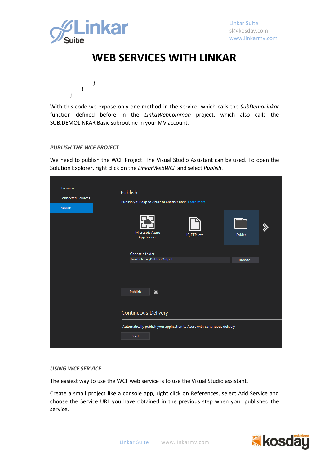

}

}

}

### **WEB SERVICES WITH LINKAR**

With this code we expose only one method in the service, which calls the *SubDemoLinkar* function defined before in the *LinkaWebCommon* project, which also calls the SUB.DEMOLINKAR Basic subroutine in your MV account.

#### *PUBLISH THE WCF PROJECT*

We need to publish the WCF Project. The Visual Studio Assistant can be used. To open the Solution Explorer, right click on the *LinkarWebWCF* and select *Publish*.

| Overview<br><b>Connected Services</b><br>Publish | Publish<br>Publish your app to Azure or another host. Learn more<br>Microsoft Azure<br>IIS, FTP, etc<br><b>App Service</b> | Folder |
|--------------------------------------------------|----------------------------------------------------------------------------------------------------------------------------|--------|
|                                                  | Choose a folder<br>bin\Release\PublishOutput<br>◉<br>Publish                                                               | Browse |
|                                                  | <b>Continuous Delivery</b>                                                                                                 |        |
|                                                  | Automatically publish your application to Azure with continuous delivery<br><b>Start</b>                                   |        |

#### *USING WCF SERVICE*

The easiest way to use the WCF web service is to use the Visual Studio assistant.

Create a small project like a console app, right click on References, select Add Service and choose the Service URL you have obtained in the previous step when you published the service.

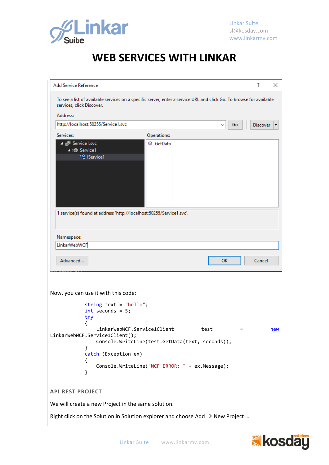

| <b>Add Service Reference</b>                                                                                                                     |                                                                                                  | ?               |          |  |  |  |  |
|--------------------------------------------------------------------------------------------------------------------------------------------------|--------------------------------------------------------------------------------------------------|-----------------|----------|--|--|--|--|
|                                                                                                                                                  |                                                                                                  |                 | $\times$ |  |  |  |  |
| To see a list of available services on a specific server, enter a service URL and click Go. To browse for available<br>services, click Discover. |                                                                                                  |                 |          |  |  |  |  |
| Address:                                                                                                                                         |                                                                                                  |                 |          |  |  |  |  |
|                                                                                                                                                  | http://localhost:50255/Service1.svc<br>Go                                                        | <b>Discover</b> |          |  |  |  |  |
| Services:                                                                                                                                        | Operations:                                                                                      |                 |          |  |  |  |  |
| ⊿ @ Service1.svc<br>4 ¤ Service1                                                                                                                 | © GetData<br>* <sup>0</sup> IService1                                                            |                 |          |  |  |  |  |
|                                                                                                                                                  |                                                                                                  |                 |          |  |  |  |  |
|                                                                                                                                                  | 1 service(s) found at address 'http://localhost:50255/Service1.svc'.                             |                 |          |  |  |  |  |
| Namespace:                                                                                                                                       |                                                                                                  |                 |          |  |  |  |  |
| LinkarWebWCF                                                                                                                                     |                                                                                                  |                 |          |  |  |  |  |
| Advanced                                                                                                                                         | <b>OK</b>                                                                                        | Cancel          |          |  |  |  |  |
|                                                                                                                                                  | Now, you can use it with this code:                                                              |                 |          |  |  |  |  |
|                                                                                                                                                  | string text = $"hello"$ ;<br>$int$ seconds = 5;<br>try<br>LinkarWebWCF.Service1Client            |                 |          |  |  |  |  |
|                                                                                                                                                  | test<br>$=$<br>LinkarWebWCF.Service1Client();<br>Console.WriteLine(test.GetData(text, seconds)); |                 | new      |  |  |  |  |
|                                                                                                                                                  | }<br>catch (Exception ex)<br>$\{$                                                                |                 |          |  |  |  |  |
|                                                                                                                                                  | Console.WriteLine("WCF ERROR: " + ex.Message);<br>}                                              |                 |          |  |  |  |  |
| <b>API REST PROJECT</b>                                                                                                                          |                                                                                                  |                 |          |  |  |  |  |
|                                                                                                                                                  | We will create a new Project in the same solution.                                               |                 |          |  |  |  |  |

Right click on the Solution in Solution explorer and choose Add  $\rightarrow$  New Project ...

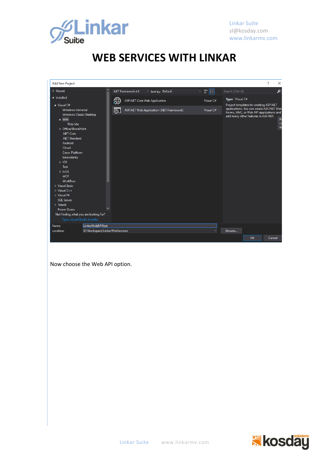

| <b>Add New Project</b>                                                                                                                                                                                                                                                                                                                                                                |                                                     |           | ?<br>$\times$                                                                                                                                                                          |
|---------------------------------------------------------------------------------------------------------------------------------------------------------------------------------------------------------------------------------------------------------------------------------------------------------------------------------------------------------------------------------------|-----------------------------------------------------|-----------|----------------------------------------------------------------------------------------------------------------------------------------------------------------------------------------|
| $\triangleright$ Recent                                                                                                                                                                                                                                                                                                                                                               | .NET Framework 4.6<br>Sort by: Default              | 可能同       | م<br>Search (Ctrl+E)                                                                                                                                                                   |
| ▲ Installed                                                                                                                                                                                                                                                                                                                                                                           | <b>ASP.NET Core Web Application</b>                 | Visual C# | Type: Visual C#                                                                                                                                                                        |
| $\blacktriangle$ Visual C#<br><b>Windows Universal</b><br>Windows Classic Desktop<br>$\blacktriangle$ Web<br><b>Web Site</b><br>D Office/SharePoint<br>.NET Core<br>.NET Standard<br>Android<br>Cloud<br>Cross-Platform<br>Extensibility<br>$\triangleright$ iOS<br><b>Test</b><br>$D$ tvOS<br><b>WCF</b><br>Workflow<br>▷ Visual Basic<br>$\triangleright$ Visual C++<br>D Visual F# | 57<br>ASP.NET Web Application (.NET Framework)<br>⊕ | Visual C# | Project templates for creating ASP.NET<br>applications. You can create ASP.NET Web<br>Forms, MVC, or Web API applications and<br>add many other features in ASP.NET.<br>Pr<br>ca<br>ap |
| <b>SOL Server</b><br>$D$ Telerik                                                                                                                                                                                                                                                                                                                                                      |                                                     |           |                                                                                                                                                                                        |
| Power Ouerv                                                                                                                                                                                                                                                                                                                                                                           |                                                     |           |                                                                                                                                                                                        |
| Not finding what you are looking for?                                                                                                                                                                                                                                                                                                                                                 |                                                     |           |                                                                                                                                                                                        |
| Open Visual Studio Installer                                                                                                                                                                                                                                                                                                                                                          |                                                     |           |                                                                                                                                                                                        |
| LinkarWebAPIRest<br>Name:                                                                                                                                                                                                                                                                                                                                                             |                                                     |           |                                                                                                                                                                                        |
| D:\Workspace\LinkarWebServices<br>Location:                                                                                                                                                                                                                                                                                                                                           |                                                     |           | Browse                                                                                                                                                                                 |
|                                                                                                                                                                                                                                                                                                                                                                                       |                                                     |           | OK<br>Cancel                                                                                                                                                                           |

Now choose the Web API option.

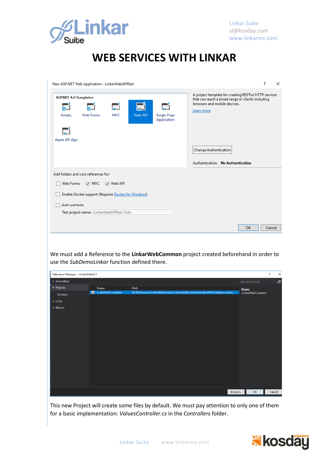

|                                       | New ASP.NET Web Application - LinkarWebAPIRest             |                                        |         |                                   | ?<br>$\times$                                                                                                                                            |
|---------------------------------------|------------------------------------------------------------|----------------------------------------|---------|-----------------------------------|----------------------------------------------------------------------------------------------------------------------------------------------------------|
| <b>ASP.NET 4.6 Templates</b><br>Empty | <b>Web Forms</b>                                           | $\overline{\phantom{a}}$<br><b>MVC</b> | Web API | <b>Single Page</b><br>Application | A project template for creating RESTful HTTP services<br>that can reach a broad range of clients including<br>browsers and mobile devices.<br>Learn more |
| Azure API App                         |                                                            |                                        |         |                                   | <b>Change Authentication</b><br>Authentication: No Authentication                                                                                        |
|                                       | Add folders and core references for:                       |                                        |         |                                   |                                                                                                                                                          |
| Web Forms                             | $\vee$ MVC                                                 | $\vee$ Web API                         |         |                                   |                                                                                                                                                          |
|                                       | <b>Enable Docker support (Requires Docker for Windows)</b> |                                        |         |                                   |                                                                                                                                                          |
| Add unit tests                        |                                                            |                                        |         |                                   |                                                                                                                                                          |
|                                       | Test project name: LinkarWebAPIRest.Tests                  |                                        |         |                                   |                                                                                                                                                          |
|                                       |                                                            |                                        |         |                                   | OK<br>Cancel                                                                                                                                             |

We must add a Reference to the **LinkarWebCommon** project created beforehand in order to use the *SubDemoLinkar* function defined there.

| Reference Manager - LinkarWebWCF |                 |                                                                       |                 |                 | $\overline{\cdot}$ | $\times$ |
|----------------------------------|-----------------|-----------------------------------------------------------------------|-----------------|-----------------|--------------------|----------|
| $\triangleright$ Assemblies      |                 |                                                                       | Search (Ctrl+E) |                 |                    | م        |
| ▲ Projects                       | Name            | Path                                                                  | Name:           |                 |                    |          |
| Solution                         | LinkarWebCommon | D:\Workspace\LinkarWebServices\LinkarWebCommon\LinkarWebCommon.csproj |                 | LinkarWebCommon |                    |          |
| $\triangleright$ COM             |                 |                                                                       |                 |                 |                    |          |
| $\triangleright$ Browse          |                 |                                                                       |                 |                 |                    |          |
|                                  |                 |                                                                       |                 |                 |                    |          |
|                                  |                 |                                                                       |                 |                 |                    |          |
|                                  |                 |                                                                       |                 |                 |                    |          |
|                                  |                 |                                                                       |                 |                 |                    |          |
|                                  |                 |                                                                       |                 |                 |                    |          |
|                                  |                 |                                                                       |                 |                 |                    |          |
|                                  |                 |                                                                       |                 |                 |                    |          |
|                                  |                 |                                                                       |                 |                 |                    |          |
|                                  |                 |                                                                       |                 |                 |                    |          |
|                                  |                 |                                                                       |                 |                 |                    |          |
|                                  |                 |                                                                       |                 |                 |                    |          |
|                                  |                 |                                                                       |                 |                 |                    |          |
|                                  |                 | Browse                                                                |                 | OK              | Cancel             |          |

This new Project will create some files by default. We must pay attention to only one of them for a basic implementation: *ValuesController.cs* in the *Controllers* folder.

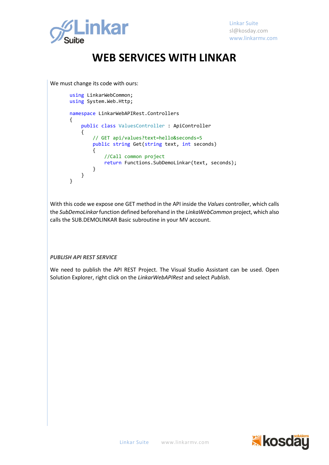

We must change its code with ours:

```
using LinkarWebCommon;
using System.Web.Http;
namespace LinkarWebAPIRest.Controllers
{
     public class ValuesController : ApiController
     {
         // GET api/values?text=hello&seconds=5
         public string Get(string text, int seconds)
         {
             //Call common project
             return Functions.SubDemoLinkar(text, seconds);
         }
     }
}
```
With this code we expose one GET method in the API inside the *Values* controller, which calls the *SubDemoLinkar*function defined beforehand in the *LinkaWebCommon* project, which also calls the SUB.DEMOLINKAR Basic subroutine in your MV account.

*PUBLISH API REST SERVICE* 

We need to publish the API REST Project. The Visual Studio Assistant can be used. Open Solution Explorer, right click on the *LinkarWebAPIRest* and select *Publish*.

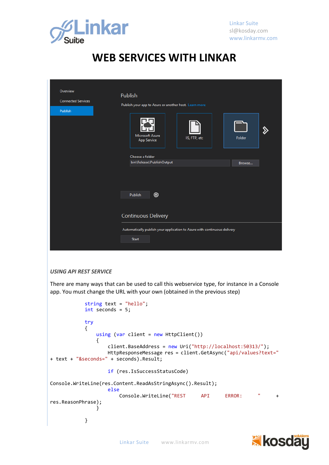

| Overview<br><b>Connected Services</b><br>Publish | <b>Publish</b><br>Publish your app to Azure or another host. Learn more                                |                  |
|--------------------------------------------------|--------------------------------------------------------------------------------------------------------|------------------|
|                                                  | Microsoft Azure<br>IIS, FTP, etc<br><b>App Service</b><br>Choose a folder<br>bin\Release\PublishOutput | Folder<br>Browse |
|                                                  | ◉<br>Publish<br><b>Continuous Delivery</b>                                                             |                  |
|                                                  | Automatically publish your application to Azure with continuous delivery<br><b>Start</b>               |                  |

#### *USING API REST SERVICE*

There are many ways that can be used to call this webservice type, for instance in a Console app. You must change the URL with your own (obtained in the previous step)

```
 string text = "hello";
           int seconds = 5;
           try
\{ using (var client = new HttpClient())
\{ client.BaseAddress = new Uri("http://localhost:50313/");
                  HttpResponseMessage res = client.GetAsync("api/values?text="
+ text + "&seconds=" + seconds).Result;
                  if (res.IsSuccessStatusCode) 
Console.WriteLine(res.Content.ReadAsStringAsync().Result);
                  else
                      Console.WriteLine("REST API ERROR: " + 
res.ReasonPhrase);
 }
 }
```
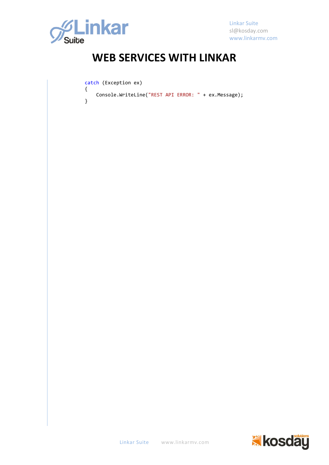

}

Linkar Suite [sl@kosday.com](mailto:sl@kosday.com) www.linkarmv.com

## **WEB SERVICES WITH LINKAR**

catch (Exception ex)

 { Console.WriteLine("REST API ERROR: " + ex.Message);